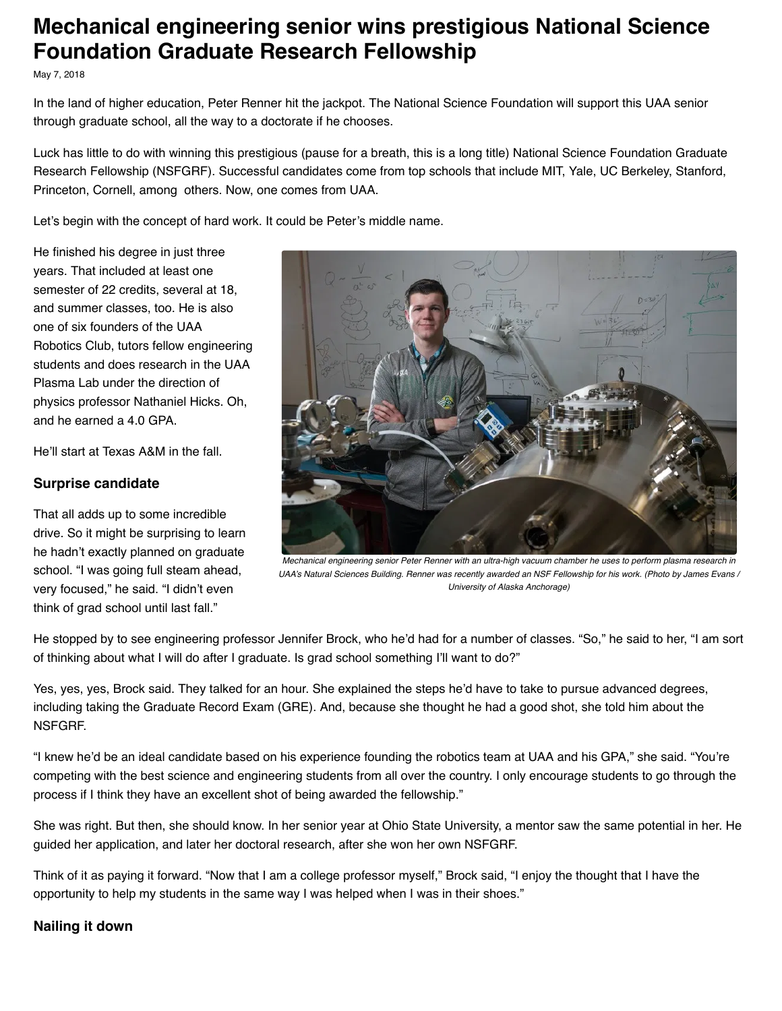# **Mechanical engineering senior wins prestigious National Science Foundation Graduate Research Fellowship**

May 7, 2018

In the land of higher education, Peter Renner hit the jackpot. The National Science Foundation will support this UAA senior through graduate school, all the way to a doctorate if he chooses.

Luck has little to do with winning this prestigious (pause for a breath, this is a long title) National Science Foundation Graduate Research Fellowship (NSFGRF). Successful candidates come from top schools that include MIT, Yale, UC Berkeley, Stanford, Princeton, Cornell, among others. Now, one comes from UAA.

Let's begin with the concept of hard work. It could be Peter's middle name.

He finished his degree in just three years. That included at least one semester of 22 credits, several at 18, and summer classes, too. He is also one of six founders of the UAA Robotics Club, tutors fellow engineering students and does research in the UAA Plasma Lab under the direction of physics professor Nathaniel Hicks. Oh, and he earned a 4.0 GPA.

He'll start at Texas A&M in the fall.

# **Surprise candidate**

That all adds up to some incredible drive. So it might be surprising to learn he hadn't exactly planned on graduate school. "I was going full steam ahead, very focused," he said. "I didn't even think of grad school until last fall."



*Mechanical engineering senior Peter Renner with an ultra-high vacuum chamber he uses to perform plasma research in UAA's Natural Sciences Building. Renner was recently awarded an NSF Fellowship for his work. (Photo by James Evans / University of Alaska Anchorage)*

He stopped by to see engineering professor Jennifer Brock, who he'd had for a number of classes. "So," he said to her, "I am sort of thinking about what I will do after I graduate. Is grad school something I'll want to do?"

Yes, yes, yes, Brock said. They talked for an hour. She explained the steps he'd have to take to pursue advanced degrees, including taking the Graduate Record Exam (GRE). And, because she thought he had a good shot, she told him about the NSFGRF.

"I knew he'd be an ideal candidate based on his experience founding the robotics team at UAA and his GPA," she said. "You're competing with the best science and engineering students from all over the country. I only encourage students to go through the process if I think they have an excellent shot of being awarded the fellowship."

She was right. But then, she should know. In her senior year at Ohio State University, a mentor saw the same potential in her. He guided her application, and later her doctoral research, after she won her own NSFGRF.

Think of it as paying it forward. "Now that I am a college professor myself," Brock said, "I enjoy the thought that I have the opportunity to help my students in the same way I was helped when I was in their shoes."

# **Nailing it down**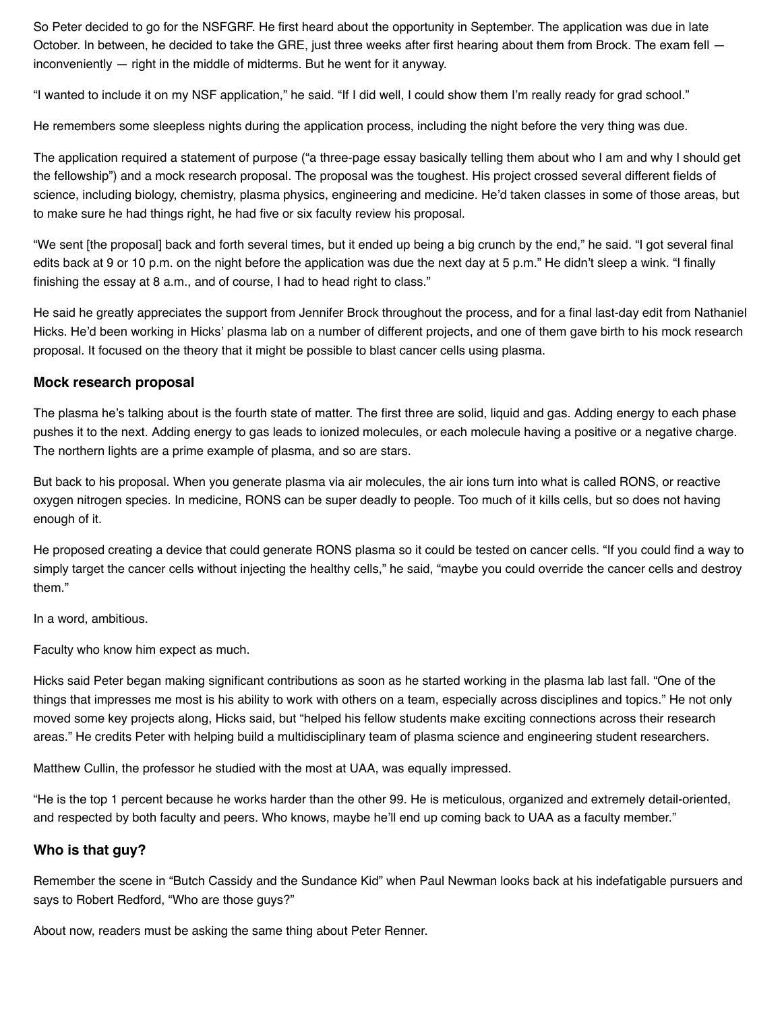So Peter decided to go for the NSFGRF. He first heard about the opportunity in September. The application was due in late October. In between, he decided to take the GRE, just three weeks after first hearing about them from Brock. The exam fell inconveniently — right in the middle of midterms. But he went for it anyway.

"I wanted to include it on my NSF application," he said. "If I did well, I could show them I'm really ready for grad school."

He remembers some sleepless nights during the application process, including the night before the very thing was due.

The application required a statement of purpose ("a three-page essay basically telling them about who I am and why I should get the fellowship") and a mock research proposal. The proposal was the toughest. His project crossed several different fields of science, including biology, chemistry, plasma physics, engineering and medicine. He'd taken classes in some of those areas, but to make sure he had things right, he had five or six faculty review his proposal.

"We sent [the proposal] back and forth several times, but it ended up being a big crunch by the end," he said. "I got several final edits back at 9 or 10 p.m. on the night before the application was due the next day at 5 p.m." He didn't sleep a wink. "I finally finishing the essay at 8 a.m., and of course, I had to head right to class."

He said he greatly appreciates the support from Jennifer Brock throughout the process, and for a final last-day edit from Nathaniel Hicks. He'd been working in Hicks' plasma lab on a number of different projects, and one of them gave birth to his mock research proposal. It focused on the theory that it might be possible to blast cancer cells using plasma.

### **Mock research proposal**

The plasma he's talking about is the fourth state of matter. The first three are solid, liquid and gas. Adding energy to each phase pushes it to the next. Adding energy to gas leads to ionized molecules, or each molecule having a positive or a negative charge. The northern lights are a prime example of plasma, and so are stars.

But back to his proposal. When you generate plasma via air molecules, the air ions turn into what is called RONS, or reactive oxygen nitrogen species. In medicine, RONS can be super deadly to people. Too much of it kills cells, but so does not having enough of it.

He proposed creating a device that could generate RONS plasma so it could be tested on cancer cells. "If you could find a way to simply target the cancer cells without injecting the healthy cells," he said, "maybe you could override the cancer cells and destroy them."

In a word, ambitious.

Faculty who know him expect as much.

Hicks said Peter began making significant contributions as soon as he started working in the plasma lab last fall. "One of the things that impresses me most is his ability to work with others on a team, especially across disciplines and topics." He not only moved some key projects along, Hicks said, but "helped his fellow students make exciting connections across their research areas." He credits Peter with helping build a multidisciplinary team of plasma science and engineering student researchers.

Matthew Cullin, the professor he studied with the most at UAA, was equally impressed.

"He is the top 1 percent because he works harder than the other 99. He is meticulous, organized and extremely detail-oriented, and respected by both faculty and peers. Who knows, maybe he'll end up coming back to UAA as a faculty member."

### **Who is that guy?**

Remember the scene in "Butch Cassidy and the Sundance Kid" when Paul Newman looks back at his indefatigable pursuers and says to Robert Redford, "Who are those guys?"

About now, readers must be asking the same thing about Peter Renner.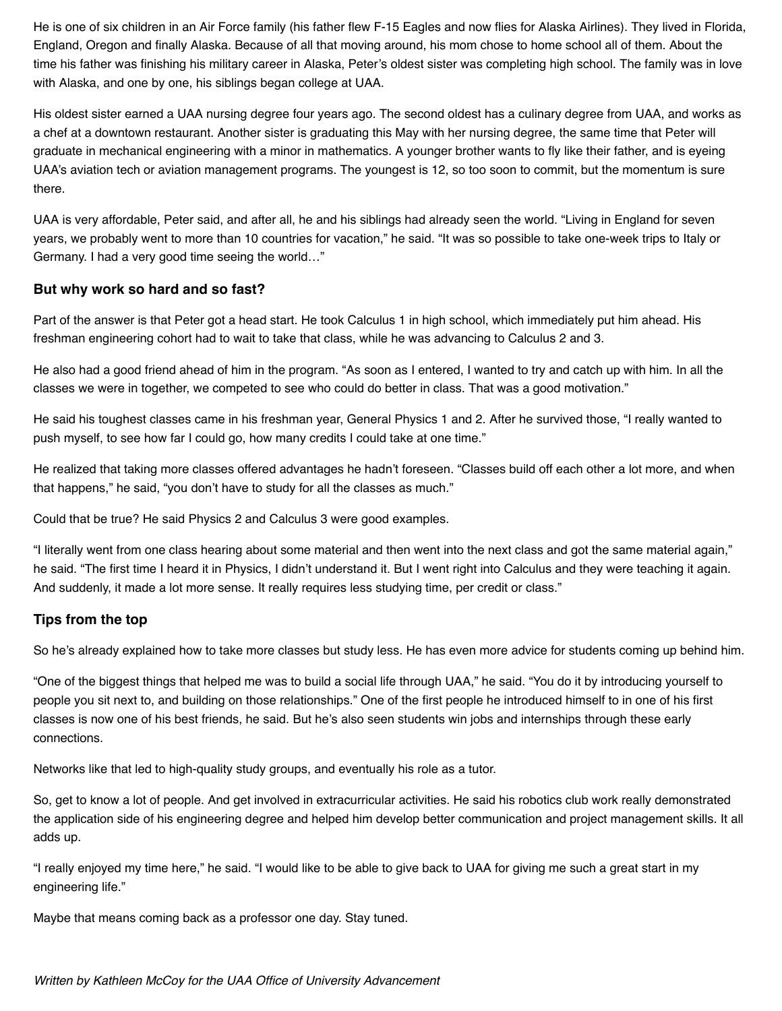He is one of six children in an Air Force family (his father flew F-15 Eagles and now flies for Alaska Airlines). They lived in Florida, England, Oregon and finally Alaska. Because of all that moving around, his mom chose to home school all of them. About the time his father was finishing his military career in Alaska, Peter's oldest sister was completing high school. The family was in love with Alaska, and one by one, his siblings began college at UAA.

His oldest sister earned a UAA nursing degree four years ago. The second oldest has a culinary degree from UAA, and works as a chef at a downtown restaurant. Another sister is graduating this May with her nursing degree, the same time that Peter will graduate in mechanical engineering with a minor in mathematics. A younger brother wants to fly like their father, and is eyeing UAA's aviation tech or aviation management programs. The youngest is 12, so too soon to commit, but the momentum is sure there.

UAA is very affordable, Peter said, and after all, he and his siblings had already seen the world. "Living in England for seven years, we probably went to more than 10 countries for vacation," he said. "It was so possible to take one-week trips to Italy or Germany. I had a very good time seeing the world…"

# **But why work so hard and so fast?**

Part of the answer is that Peter got a head start. He took Calculus 1 in high school, which immediately put him ahead. His freshman engineering cohort had to wait to take that class, while he was advancing to Calculus 2 and 3.

He also had a good friend ahead of him in the program. "As soon as I entered, I wanted to try and catch up with him. In all the classes we were in together, we competed to see who could do better in class. That was a good motivation."

He said his toughest classes came in his freshman year, General Physics 1 and 2. After he survived those, "I really wanted to push myself, to see how far I could go, how many credits I could take at one time."

He realized that taking more classes offered advantages he hadn't foreseen. "Classes build off each other a lot more, and when that happens," he said, "you don't have to study for all the classes as much."

Could that be true? He said Physics 2 and Calculus 3 were good examples.

"I literally went from one class hearing about some material and then went into the next class and got the same material again," he said. "The first time I heard it in Physics, I didn't understand it. But I went right into Calculus and they were teaching it again. And suddenly, it made a lot more sense. It really requires less studying time, per credit or class."

# **Tips from the top**

So he's already explained how to take more classes but study less. He has even more advice for students coming up behind him.

"One of the biggest things that helped me was to build a social life through UAA," he said. "You do it by introducing yourself to people you sit next to, and building on those relationships." One of the first people he introduced himself to in one of his first classes is now one of his best friends, he said. But he's also seen students win jobs and internships through these early connections.

Networks like that led to high-quality study groups, and eventually his role as a tutor.

So, get to know a lot of people. And get involved in extracurricular activities. He said his robotics club work really demonstrated the application side of his engineering degree and helped him develop better communication and project management skills. It all adds up.

"I really enjoyed my time here," he said. "I would like to be able to give back to UAA for giving me such a great start in my engineering life."

Maybe that means coming back as a professor one day. Stay tuned.

Written by Kathleen McCoy for the UAA Office of University Advancement